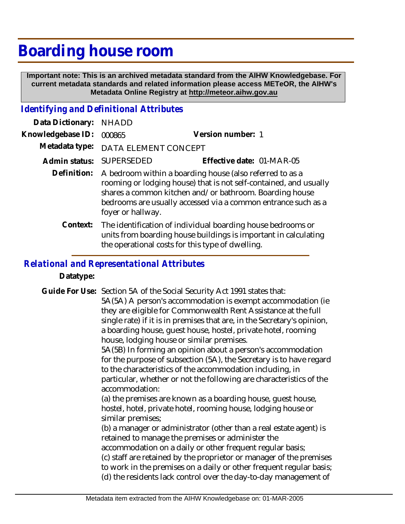## **Boarding house room**

 **Important note: This is an archived metadata standard from the AIHW Knowledgebase. For current metadata standards and related information please access METeOR, the AIHW's Metadata Online Registry at http://meteor.aihw.gov.au**

## *Identifying and Definitional Attributes*

| Data Dictionary:  | <b>NHADD</b>                                                                                                                                                                                                                                                                   |                                                                                                                                         |
|-------------------|--------------------------------------------------------------------------------------------------------------------------------------------------------------------------------------------------------------------------------------------------------------------------------|-----------------------------------------------------------------------------------------------------------------------------------------|
| Knowledgebase ID: | 000865                                                                                                                                                                                                                                                                         | Version number: 1                                                                                                                       |
| Metadata type:    | DATA ELEMENT CONCEPT                                                                                                                                                                                                                                                           |                                                                                                                                         |
| Admin status:     | <b>SUPERSEDED</b>                                                                                                                                                                                                                                                              | Effective date: 01-MAR-05                                                                                                               |
| Definition:       | A bedroom within a boarding house (also referred to as a<br>rooming or lodging house) that is not self-contained, and usually<br>shares a common kitchen and/or bathroom. Boarding house<br>bedrooms are usually accessed via a common entrance such as a<br>foyer or hallway. |                                                                                                                                         |
|                   | the operational costs for this type of dwelling.                                                                                                                                                                                                                               | Context: The identification of individual boarding house bedrooms or<br>units from boarding house buildings is important in calculating |

## *Relational and Representational Attributes*

**Datatype:**

Guide For Use: Section 5A of the Social Security Act 1991 states that:

5A(5A) A person's accommodation is exempt accommodation (ie they are eligible for Commonwealth Rent Assistance at the full single rate) if it is in premises that are, in the Secretary's opinion, a boarding house, guest house, hostel, private hotel, rooming house, lodging house or similar premises.

5A(5B) In forming an opinion about a person's accommodation for the purpose of subsection (5A), the Secretary is to have regard to the characteristics of the accommodation including, in particular, whether or not the following are characteristics of the accommodation:

(a) the premises are known as a boarding house, guest house, hostel, hotel, private hotel, rooming house, lodging house or similar premises;

(b) a manager or administrator (other than a real estate agent) is retained to manage the premises or administer the

accommodation on a daily or other frequent regular basis; (c) staff are retained by the proprietor or manager of the premises to work in the premises on a daily or other frequent regular basis; (d) the residents lack control over the day-to-day management of